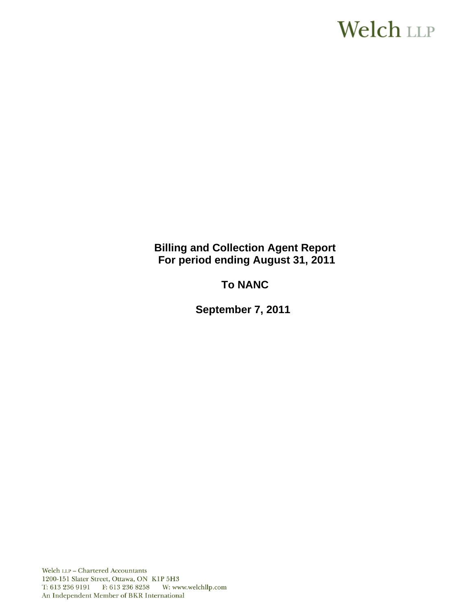# **Welch LLP**

**Billing and Collection Agent Report For period ending August 31, 2011** 

**To NANC** 

 **September 7, 2011** 

Welch LLP - Chartered Accountants 1200-151 Slater Street, Ottawa, ON K1P 5H3 T: 613 236 9191 F: 613 236 8258 W: www.welchllp.com An Independent Member of BKR International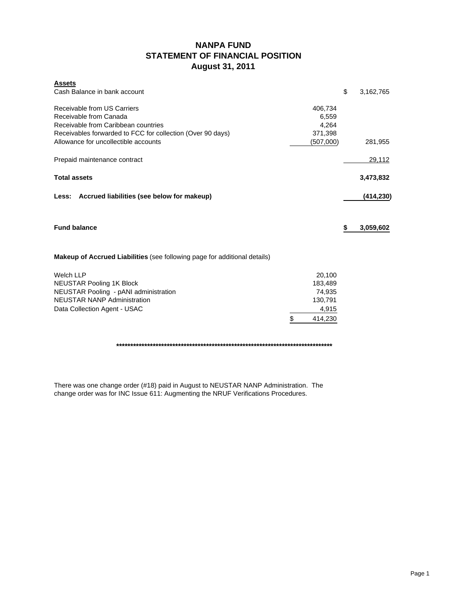# **NANPA FUND STATEMENT OF FINANCIAL POSITION August 31, 2011**

| <b>Assets</b>                                                                    |               |                 |
|----------------------------------------------------------------------------------|---------------|-----------------|
| Cash Balance in bank account                                                     |               | \$<br>3,162,765 |
| Receivable from US Carriers                                                      |               |                 |
|                                                                                  | 406,734       |                 |
| Receivable from Canada                                                           | 6,559         |                 |
| Receivable from Caribbean countries                                              | 4,264         |                 |
| Receivables forwarded to FCC for collection (Over 90 days)                       | 371,398       |                 |
| Allowance for uncollectible accounts                                             | (507,000)     | 281,955         |
| Prepaid maintenance contract                                                     |               | 29,112          |
| <b>Total assets</b>                                                              |               | 3,473,832       |
|                                                                                  |               |                 |
| Less: Accrued liabilities (see below for makeup)                                 |               | (414, 230)      |
|                                                                                  |               |                 |
| <b>Fund balance</b>                                                              |               | \$<br>3,059,602 |
|                                                                                  |               |                 |
| <b>Makeup of Accrued Liabilities</b> (see following page for additional details) |               |                 |
| <b>Welch LLP</b>                                                                 | 20,100        |                 |
| <b>NEUSTAR Pooling 1K Block</b>                                                  | 183,489       |                 |
| NEUSTAR Pooling - pANI administration                                            | 74,935        |                 |
| <b>NEUSTAR NANP Administration</b>                                               | 130,791       |                 |
|                                                                                  |               |                 |
|                                                                                  |               |                 |
| Data Collection Agent - USAC                                                     | 4,915         |                 |
|                                                                                  | \$<br>414,230 |                 |

**\*\*\*\*\*\*\*\*\*\*\*\*\*\*\*\*\*\*\*\*\*\*\*\*\*\*\*\*\*\*\*\*\*\*\*\*\*\*\*\*\*\*\*\*\*\*\*\*\*\*\*\*\*\*\*\*\*\*\*\*\*\*\*\*\*\*\*\*\*\*\*\*\*\*\*\*\***

There was one change order (#18) paid in August to NEUSTAR NANP Administration. The change order was for INC Issue 611: Augmenting the NRUF Verifications Procedures.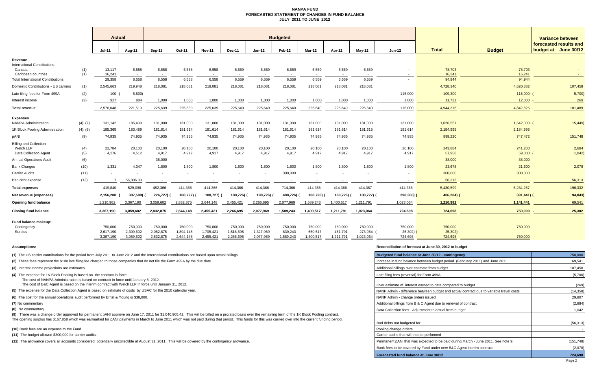#### **NANPA FUND FORECASTED STATEMENT OF CHANGES IN FUND BALANCEJULY 2011 TO JUNE 2012**

|                                                                     |            | <b>Actual</b>            |                          | <b>Budgeted</b>          |                        |                          |                        |                          |                      |                          |                      |                          |                    |                    | Variance between  |                                                   |
|---------------------------------------------------------------------|------------|--------------------------|--------------------------|--------------------------|------------------------|--------------------------|------------------------|--------------------------|----------------------|--------------------------|----------------------|--------------------------|--------------------|--------------------|-------------------|---------------------------------------------------|
|                                                                     |            | $Jul-11$                 | Aug-11                   | Sep-11                   | Oct-11                 | <b>Nov-11</b>            | Dec-11                 | $Jan-12$                 | Feb-12               | Mar-12                   | Apr-12               | $Mav-12$                 | <b>Jun-12</b>      | <b>Total</b>       | <b>Budget</b>     | forecasted results and<br>June 30/12<br>budget at |
| <u>Revenue</u>                                                      |            |                          |                          |                          |                        |                          |                        |                          |                      |                          |                      |                          |                    |                    |                   |                                                   |
| <b>International Contributions</b><br>Canada<br>Caribbean countries | (1)<br>(1) | 13,117<br>16,241         | 6,558                    | 6,558                    | 6,558                  | 6,558                    | 6,559                  | 6,559                    | 6,559                | 6,559                    | 6,559                | 6,559                    |                    | 78,703<br>16,241   | 78,703<br>16,241  |                                                   |
| <b>Total International Contributions</b>                            |            | 29,358                   | 6,558                    | 6,558                    | 6,558                  | 6,558                    | 6,559                  | 6,559                    | 6,559                | 6,559                    | 6,559                | 6,559                    |                    | 94,944             | 94,944            |                                                   |
| Domestic Contributions - US carriers                                | (1)        | 2,545,663                | 219,948                  | 218,081                  | 218,081                | 218,081                  | 218,081                | 218,081                  | 218,081              | 218,081                  | 218,081              | 218,081                  |                    | 4,728,340          | 4,620,882         | 107,458                                           |
| Late filing fees for Form 499A                                      | (2)        | 100                      | 5,800                    | $\sim$                   |                        |                          |                        |                          |                      |                          |                      |                          | 115,000            | 109,300            | 115,000           | 5,700                                             |
| Interest income                                                     | (3)        | 927                      | 804                      | 1,000                    | 1,000                  | 1,000                    | 1,000                  | 1,000                    | 1,000                | 1,000                    | 1,000                | 1,000                    | 1,000              | 11,731             | 12,000            | 269                                               |
| <b>Total revenue</b>                                                |            | 2,576,048                | 221,510                  | 225,639                  | 225,639                | 225,639                  | 225,640                | 225,640                  | 225,640              | 225,640                  | 225,640              | 225,640                  | 116,000            | 4,944,315          | 4,842,826         | 101,489                                           |
| <b>Expenses</b>                                                     |            |                          |                          |                          |                        |                          |                        |                          |                      |                          |                      |                          |                    |                    |                   |                                                   |
| <b>NANPA Administration</b>                                         | (4), (7)   | 131,142                  | 185,409                  | 131,000                  | 131,000                | 131,000                  | 131,000                | 131,000                  | 131,000              | 131,000                  | 131,000              | 131,000                  | 131,000            | 1,626,551          | 1,642,000         | 15,449)                                           |
| 1K Block Pooling Administration                                     | (4), (8)   | 185,365                  | 183,489                  | 181,614                  | 181,614                | 181,614                  | 181,614                | 181,614                  | 181,614              | 181,614                  | 181,614              | 181,615                  | 181,614            | 2,184,995          | 2,184,995         |                                                   |
| pANI                                                                | (9)        | 74,935                   | 74,935                   | 74,935                   | 74,935                 | 74,935                   | 74,935                 | 74,935                   | 74,935               | 74,935                   | 74,935               | 74,935                   | 74,935             | 899,220            | 747,472           | 151,748                                           |
| <b>Billing and Collection</b>                                       |            |                          |                          |                          |                        |                          |                        |                          |                      |                          |                      |                          |                    |                    |                   |                                                   |
| Welch LLP<br><b>Data Collection Agent</b>                           | (4)<br>(5) | 22,784<br>4,276          | 20,100<br>4,512          | 20,100<br>4,917          | 20,100<br>4,917        | 20,100<br>4,917          | 20,100<br>4,917        | 20,100<br>4,917          | 20,100<br>4,917      | 20,100<br>4,917          | 20,100<br>4,917      | 20,100<br>4,917          | 20,100<br>4,917    | 243,884<br>57,958  | 241,200<br>59,000 | 2,684<br>1,042                                    |
| <b>Annual Operations Audit</b>                                      | (6)        | $\overline{\phantom{a}}$ | $\sim$                   | 38,000                   | $\sim$                 | $\sim$                   | $\sim$                 | $\overline{\phantom{a}}$ | $\sim$               | $\sim$                   | $\sim$               |                          |                    | 38,000             | 38,000            |                                                   |
| <b>Bank Charges</b>                                                 | (10)       | 1,331                    | 4.347                    | 1.800                    | 1.800                  | 1,800                    | 1.800                  | 1.800                    | 1,800                | 1.800                    | 1.800                | 1.800                    | 1,800              | 23,678             | 21,600            | 2,078                                             |
| Carrier Audits                                                      | (11)       |                          | $\overline{\phantom{a}}$ | $\overline{\phantom{a}}$ |                        | $\overline{\phantom{a}}$ |                        | $\overline{\phantom{a}}$ | 300,000              | $\overline{\phantom{a}}$ |                      | $\overline{\phantom{a}}$ |                    | 300,000            | 300,000           |                                                   |
| Bad debt expense                                                    | (12)       |                          | 56,306.00                |                          |                        |                          |                        |                          |                      |                          |                      |                          |                    | 56,313             |                   | 56,313                                            |
| <b>Total expenses</b>                                               |            | 419,840                  | 529,098                  | 452,366                  | 414,366                | 414,366                  | 414,366                | 414,366                  | 714,366              | 414,366                  | 414,366              | 414,367                  | 414,366            | 5,430,599          | 5,234,267         | 196,332                                           |
| Net revenue (expenses)                                              |            | 2,156,208                | 307,588) (               | 226,727)                 | 188,727)               | 188,727) (               | 188,726)               | 188,726) (               | 488,726)             | 188,726) (               | 188,726)             | 188,727) (               | 298,366)           | 486,284)           | $391,441$ ) (     | 94,843)                                           |
| Opening fund balance                                                |            | 1,210,982                | 3,367,190                | 3,059,602                | 2,832,875              | 2,644,148                | 2,455,421              | 2,266,695                | 2,077,969            | 1,589,243                | 1,400,517            | 1,211,791                | 1,023,064          | 1,210,982          | 1,141,441         | 69,541                                            |
| <b>Closing fund balance</b>                                         |            | 3,367,190                | 3,059,602                | 2,832,875                | 2,644,148              | 2,455,421                | 2,266,695              | 2,077,969                | 1,589,243            | 1,400,517                | 1,211,791            | 1,023,064                | 724,698            | 724,698            | 750,000           | 25,302                                            |
| Fund balance makeup:                                                |            |                          |                          |                          |                        |                          |                        |                          |                      |                          |                      |                          |                    |                    |                   |                                                   |
| Contingency                                                         |            | 750,000                  | 750,000                  | 750,000                  | 750,000                | 750,000                  | 750,000                | 750,000                  | 750,000              | 750,000                  | 750,000              | 750,000                  | 750,000            | 750,000            | 750,000           |                                                   |
| Surplus                                                             |            | 2,617,190<br>3,367,190   | 2,309,602<br>3,059,602   | 2,082,875<br>2,832,875   | 1,894,148<br>2,644,148 | 1,705,421<br>2,455,421   | 1,516,695<br>2,266,695 | 1,327,969<br>2,077,969   | 839,243<br>1,589,243 | 650,517<br>1,400,517     | 461.791<br>1,211,791 | 273,064<br>1,023,064     | 25,302)<br>724,698 | 25,302)<br>724,698 | 750,000           |                                                   |
|                                                                     |            |                          |                          |                          |                        |                          |                        |                          |                      |                          |                      |                          |                    |                    |                   |                                                   |

#### **(10)** Bank fees are an expense to the Fund.

#### **Assumptions: Reconciliation of forecast at June 30, 2012 to budget**

| (1) The US carrier contributions for the period from July 2011 to June 2012 and the International contributions are based upon actual billings.                                                                                                                                                                                                                                                                       | Budgeted fund balance at June 30/12 - contingency                                       | 750,000    |
|-----------------------------------------------------------------------------------------------------------------------------------------------------------------------------------------------------------------------------------------------------------------------------------------------------------------------------------------------------------------------------------------------------------------------|-----------------------------------------------------------------------------------------|------------|
| (2) These fees represent the \$100 late filing fee charged to those companies that do not file the Form 499A by the due date.                                                                                                                                                                                                                                                                                         | Increase in fund balance between budget period (February 2011) and June 2011            | 69,541     |
| (3) Interest income projections are estimates                                                                                                                                                                                                                                                                                                                                                                         | Additional billings over estimate from budget                                           | 107,458    |
| (4) The expense for 1K Block Pooling is based on the contract in force.<br>The cost of NANPA Administration is based on contract in force until January 8, 2012.                                                                                                                                                                                                                                                      | Late filing fees (reversal) for Form 499A                                               | (5,700)    |
| The cost of B&C Agent is based on the interim contract with Welch LLP in force until January 31, 2012.                                                                                                                                                                                                                                                                                                                | Over estimate of interest earned to date compared to budget                             | (269)      |
| (5) The expense for the Data Collection Agent is based on estimate of costs by USAC for the 2010 calendar year.                                                                                                                                                                                                                                                                                                       | NANP Admin - difference between budget and actual contract due to variable travel costs | (14, 358)  |
| (6) The cost for the annual operations audit performed by Ernst & Young is \$38,000.                                                                                                                                                                                                                                                                                                                                  | NANP Admin - change orders issued                                                       | 29,807     |
| (7) No commentary                                                                                                                                                                                                                                                                                                                                                                                                     | Additional billings from B & C Agent due to renewal of contract                         | (2,684)    |
| (8) No commentary                                                                                                                                                                                                                                                                                                                                                                                                     | Data Collection fees - Adiustment to actual from budget                                 | 1,042      |
| (9) There was a change order approved for permanent pANI approve on June 17, 2011 for \$1,040,905.42. This will be billed on a prorated basis over the remaining term of the 1K Block Pooling contract.<br>The opening surplus has \$167,858 which was earmarked for pANI payments in March to June 2011 which was not paid during that period. This funds for this was carried over into the current funding period. |                                                                                         |            |
|                                                                                                                                                                                                                                                                                                                                                                                                                       | Bad debts not budgeted for                                                              | (56, 313)  |
| (10) Bank fees are an expense to the Fund.                                                                                                                                                                                                                                                                                                                                                                            | Pooling change orders                                                                   |            |
| (11) The budget allowed \$300,000 for carrier audits.                                                                                                                                                                                                                                                                                                                                                                 | Carrier audits that will not be performed                                               |            |
| (12) The allowance covers all accounts considered potentially uncollectible at August 31, 2011. This will be covered by the contingency allowance.                                                                                                                                                                                                                                                                    | Permanent pANi that was expected to be paid during March - June 2011. See note 9.       | (151, 748) |
|                                                                                                                                                                                                                                                                                                                                                                                                                       | Bank fees to be covered by Fund under new B&C Agent interim contract                    | (2,078)    |
|                                                                                                                                                                                                                                                                                                                                                                                                                       | Forecasted fund balance at June 30/12                                                   | 724,698    |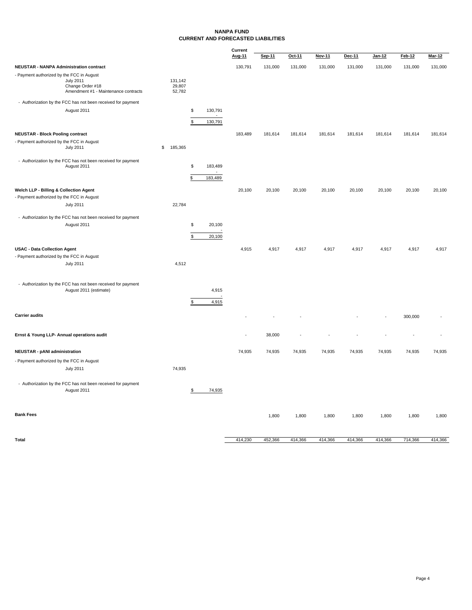#### **NANPA FUND CURRENT AND FORECASTED LIABILITIES**

|                                                |                                                              |                  |               | Current |         |         |               |         |         |               |               |
|------------------------------------------------|--------------------------------------------------------------|------------------|---------------|---------|---------|---------|---------------|---------|---------|---------------|---------------|
|                                                |                                                              |                  |               | Aug-11  | Sep-11  | Oct-11  | <b>Nov-11</b> | Dec-11  | Jan-12  | <b>Feb-12</b> | <b>Mar-12</b> |
| <b>NEUSTAR - NANPA Administration contract</b> |                                                              |                  |               | 130,791 | 131,000 | 131,000 | 131,000       | 131,000 | 131,000 | 131,000       | 131,000       |
| - Payment authorized by the FCC in August      |                                                              |                  |               |         |         |         |               |         |         |               |               |
|                                                | <b>July 2011</b>                                             | 131,142          |               |         |         |         |               |         |         |               |               |
|                                                | Change Order #18<br>Amendment #1 - Maintenance contracts     | 29,807<br>52,782 |               |         |         |         |               |         |         |               |               |
|                                                |                                                              |                  |               |         |         |         |               |         |         |               |               |
|                                                | - Authorization by the FCC has not been received for payment |                  |               |         |         |         |               |         |         |               |               |
|                                                | August 2011                                                  |                  | \$<br>130,791 |         |         |         |               |         |         |               |               |
|                                                |                                                              |                  | \$<br>130,791 |         |         |         |               |         |         |               |               |
|                                                |                                                              |                  |               |         |         |         |               |         |         |               |               |
| <b>NEUSTAR - Block Pooling contract</b>        |                                                              |                  |               | 183,489 | 181,614 | 181,614 | 181,614       | 181,614 | 181,614 | 181,614       | 181,614       |
| - Payment authorized by the FCC in August      |                                                              |                  |               |         |         |         |               |         |         |               |               |
|                                                | <b>July 2011</b>                                             | \$<br>185,365    |               |         |         |         |               |         |         |               |               |
|                                                | - Authorization by the FCC has not been received for payment |                  |               |         |         |         |               |         |         |               |               |
|                                                | August 2011                                                  |                  | \$<br>183,489 |         |         |         |               |         |         |               |               |
|                                                |                                                              |                  | $\sim$        |         |         |         |               |         |         |               |               |
|                                                |                                                              |                  | \$<br>183,489 |         |         |         |               |         |         |               |               |
| Welch LLP - Billing & Collection Agent         |                                                              |                  |               | 20,100  | 20,100  | 20,100  | 20,100        | 20,100  | 20,100  | 20,100        | 20,100        |
| - Payment authorized by the FCC in August      |                                                              |                  |               |         |         |         |               |         |         |               |               |
|                                                | <b>July 2011</b>                                             | 22,784           |               |         |         |         |               |         |         |               |               |
|                                                |                                                              |                  |               |         |         |         |               |         |         |               |               |
|                                                | - Authorization by the FCC has not been received for payment |                  |               |         |         |         |               |         |         |               |               |
|                                                | August 2011                                                  |                  | \$<br>20,100  |         |         |         |               |         |         |               |               |
|                                                |                                                              |                  | \$<br>20,100  |         |         |         |               |         |         |               |               |
|                                                |                                                              |                  |               |         |         |         |               |         |         |               |               |
| <b>USAC - Data Collection Agent</b>            |                                                              |                  |               | 4,915   | 4,917   | 4,917   | 4,917         | 4,917   | 4,917   | 4,917         | 4,917         |
| - Payment authorized by the FCC in August      |                                                              |                  |               |         |         |         |               |         |         |               |               |
|                                                | <b>July 2011</b>                                             | 4,512            |               |         |         |         |               |         |         |               |               |
|                                                |                                                              |                  |               |         |         |         |               |         |         |               |               |
|                                                | - Authorization by the FCC has not been received for payment |                  |               |         |         |         |               |         |         |               |               |
|                                                | August 2011 (estimate)                                       |                  | 4,915         |         |         |         |               |         |         |               |               |
|                                                |                                                              |                  |               |         |         |         |               |         |         |               |               |
|                                                |                                                              |                  | \$<br>4,915   |         |         |         |               |         |         |               |               |
| <b>Carrier audits</b>                          |                                                              |                  |               |         |         |         |               |         |         |               |               |
|                                                |                                                              |                  |               |         |         |         |               |         |         | 300,000       |               |
|                                                |                                                              |                  |               |         |         |         |               |         |         |               |               |
| Ernst & Young LLP- Annual operations audit     |                                                              |                  |               |         | 38,000  |         |               |         |         |               |               |
|                                                |                                                              |                  |               |         |         |         |               |         |         |               |               |
| <b>NEUSTAR - pANI administration</b>           |                                                              |                  |               | 74,935  | 74,935  | 74,935  | 74,935        | 74,935  | 74,935  | 74,935        | 74,935        |
| - Payment authorized by the FCC in August      |                                                              |                  |               |         |         |         |               |         |         |               |               |
|                                                | <b>July 2011</b>                                             | 74,935           |               |         |         |         |               |         |         |               |               |
|                                                |                                                              |                  |               |         |         |         |               |         |         |               |               |
|                                                | - Authorization by the FCC has not been received for payment |                  |               |         |         |         |               |         |         |               |               |
|                                                | August 2011                                                  |                  | \$<br>74,935  |         |         |         |               |         |         |               |               |
|                                                |                                                              |                  |               |         |         |         |               |         |         |               |               |
|                                                |                                                              |                  |               |         |         |         |               |         |         |               |               |
| <b>Bank Fees</b>                               |                                                              |                  |               |         |         |         |               |         |         |               |               |
|                                                |                                                              |                  |               |         | 1,800   | 1,800   | 1,800         | 1,800   | 1,800   | 1,800         | 1,800         |
|                                                |                                                              |                  |               |         |         |         |               |         |         |               |               |
|                                                |                                                              |                  |               |         |         |         |               |         |         |               |               |
| Total                                          |                                                              |                  |               | 414,230 | 452,366 | 414,366 | 414,366       | 414,366 | 414,366 | 714,366       | 414,366       |